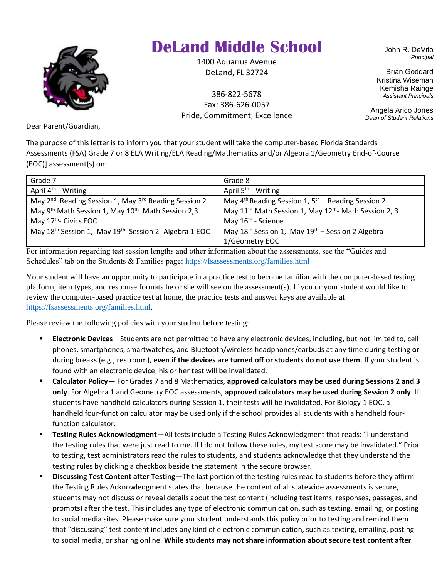

## **DeLand Middle School**

1400 Aquarius Avenue DeLand, FL 32724

386-822-5678 Fax: 386-626-0057 Pride, Commitment, Excellence John R. DeVito *Principal*

Brian Goddard Kristina Wiseman Kemisha Rainge *Assistant Principals*

Angela Arico Jones *Dean of Student Relations*

Dear Parent/Guardian,

The purpose of this letter is to inform you that your student will take the computer-based Florida Standards Assessments (FSA) Grade 7 or 8 ELA Writing/ELA Reading/Mathematics and/or Algebra 1/Geometry End-of-Course (EOC)] assessment(s) on:

| Grade 7                                                                       | Grade 8                                                                       |
|-------------------------------------------------------------------------------|-------------------------------------------------------------------------------|
| April $4th$ - Writing                                                         | April 5 <sup>th</sup> - Writing                                               |
| May 2 <sup>nd</sup> Reading Session 1, May 3 <sup>rd</sup> Reading Session 2  | May $4th$ Reading Session 1, $5th$ – Reading Session 2                        |
| May 9 <sup>th</sup> Math Session 1, May 10 <sup>th</sup> Math Session 2,3     | May 11 <sup>th</sup> Math Session 1, May 12 <sup>th</sup> - Math Session 2, 3 |
| May 17 <sup>th</sup> - Civics EOC                                             | May 16 <sup>th</sup> - Science                                                |
| May 18 <sup>th</sup> Session 1, May 19 <sup>th</sup> Session 2- Algebra 1 EOC | May $18^{th}$ Session 1, May $19^{th}$ – Session 2 Algebra                    |
|                                                                               | 1/Geometry EOC                                                                |

For information regarding test session lengths and other information about the assessments, see the "Guides and Schedules" tab on the Students & Families page:<https://fsassessments.org/families.html>

Your student will have an opportunity to participate in a practice test to become familiar with the computer-based testing platform, item types, and response formats he or she will see on the assessment(s). If you or your student would like to review the computer-based practice test at home, the practice tests and answer keys are available at [https://fsassessments.org/families.html.](https://fsassessments.org/families.html)

Please review the following policies with your student before testing:

- **Electronic Devices**—Students are not permitted to have any electronic devices, including, but not limited to, cell phones, smartphones, smartwatches, and Bluetooth/wireless headphones/earbuds at any time during testing **or** during breaks (e.g., restroom), **even if the devices are turned off or students do not use them**. If your student is found with an electronic device, his or her test will be invalidated.
- **Calculator Policy** For Grades 7 and 8 Mathematics, **approved calculators may be used during Sessions 2 and 3 only**. For Algebra 1 and Geometry EOC assessments, **approved calculators may be used during Session 2 only**. If students have handheld calculators during Session 1, their tests will be invalidated. For Biology 1 EOC, a handheld four-function calculator may be used only if the school provides all students with a handheld fourfunction calculator.
- **Testing Rules Acknowledgment**—All tests include a Testing Rules Acknowledgment that reads: "I understand the testing rules that were just read to me. If I do not follow these rules, my test score may be invalidated." Prior to testing, test administrators read the rules to students, and students acknowledge that they understand the testing rules by clicking a checkbox beside the statement in the secure browser.
- **Discussing Test Content after Testing**—The last portion of the testing rules read to students before they affirm the Testing Rules Acknowledgment states that because the content of all statewide assessments is secure, students may not discuss or reveal details about the test content (including test items, responses, passages, and prompts) after the test. This includes any type of electronic communication, such as texting, emailing, or posting to social media sites. Please make sure your student understands this policy prior to testing and remind them that "discussing" test content includes any kind of electronic communication, such as texting, emailing, posting to social media, or sharing online. **While students may not share information about secure test content after**